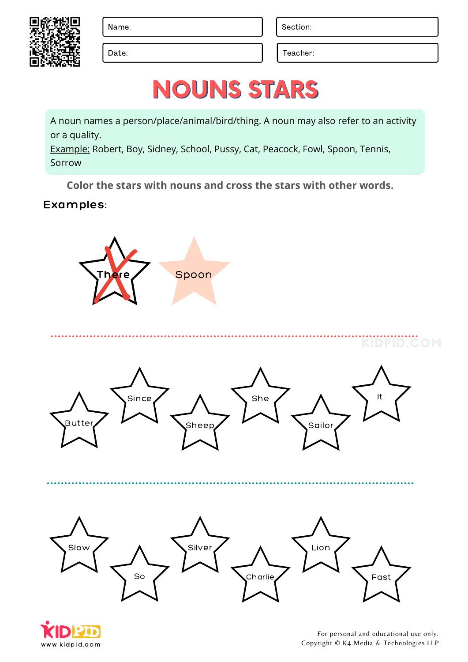Date: Date: Teacher:

# NOUNS STARS

A noun names a person/place/animal/bird/thing. A noun may also refer to an activity or a quality.

Example: Robert, Boy, Sidney, School, Pussy, Cat, Peacock, Fowl, Spoon, Tennis, Sorrow

**Color the stars with nouns and cross the stars with other words.**

#### Examples:









KIDPID.COM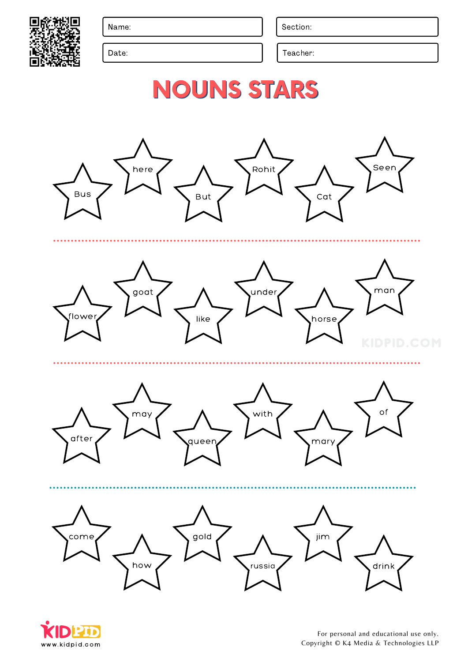

Date: Date: Teacher: Teacher: Teacher: Teacher: Teacher: Teacher: Teacher: Teacher: Teacher: Teacher: Teacher: Teacher: Teacher: Teacher: Teacher: Teacher: Teacher: Teacher: Teacher: Teacher: Teacher: Teacher: Teacher: Tea



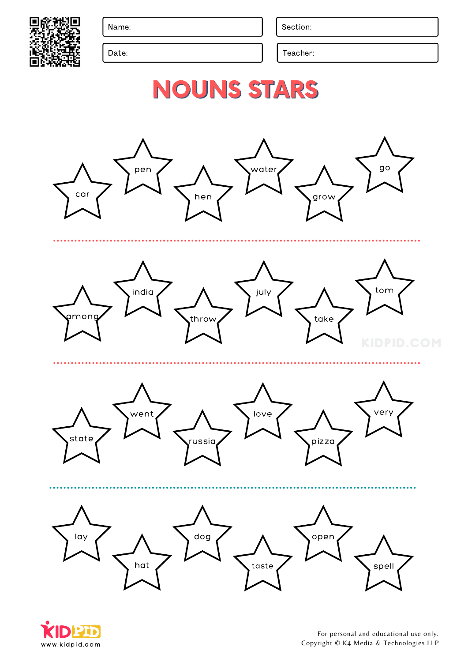

Date: Date: Teacher: Teacher: Teacher: Teacher: Teacher: Teacher: Teacher: Teacher: Teacher: Teacher: Teacher: Teacher: Teacher: Teacher: Teacher: Teacher: Teacher: Teacher: Teacher: Teacher: Teacher: Teacher: Teacher: Tea



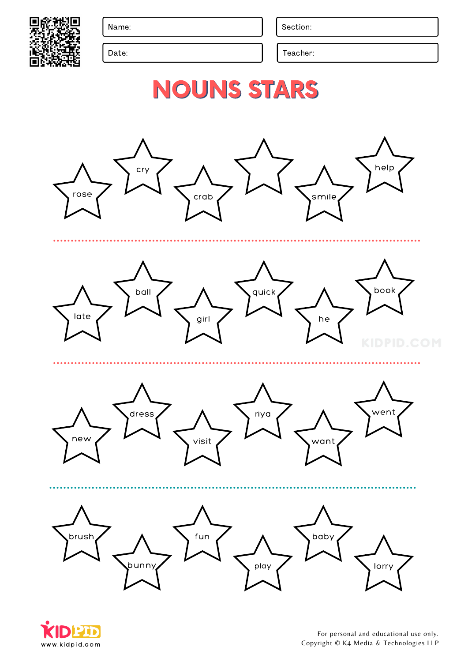

Date: Date: Teacher: Teacher: Teacher: Teacher: Teacher: Teacher: Teacher: Teacher: Teacher: Teacher: Teacher: Teacher: Teacher: Teacher: Teacher: Teacher: Teacher: Teacher: Teacher: Teacher: Teacher: Teacher: Teacher: Tea



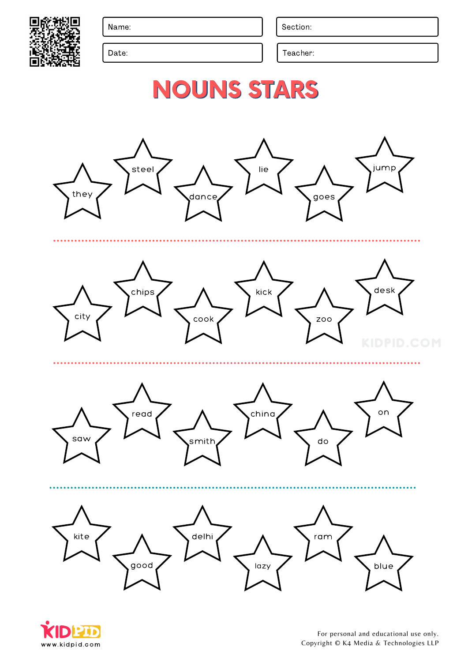

Date: Date: Teacher: Teacher: Teacher: Teacher: Teacher: Teacher: Teacher: Teacher: Teacher: Teacher: Teacher: Teacher: Teacher: Teacher: Teacher: Teacher: Teacher: Teacher: Teacher: Teacher: Teacher: Teacher: Teacher: Tea